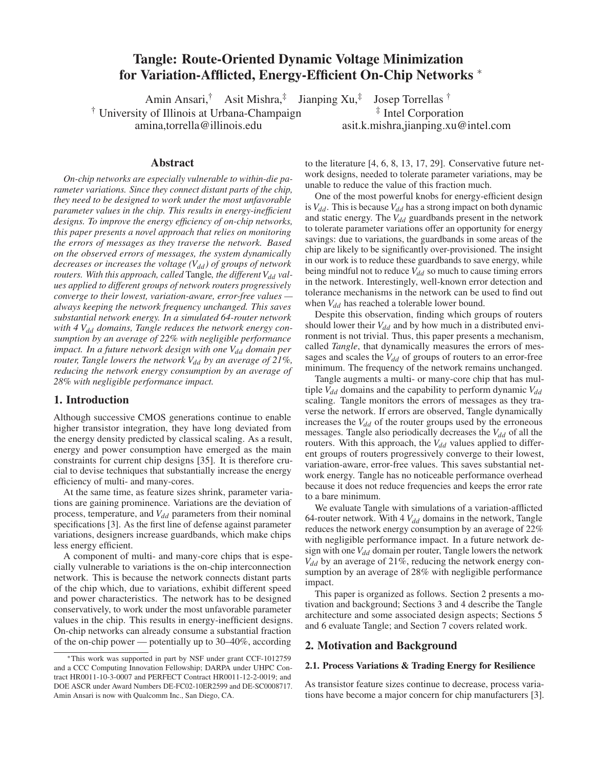# Tangle: Route-Oriented Dynamic Voltage Minimization for Variation-Afflicted, Energy-Efficient On-Chip Networks ∗

Amin Ansari,† Asit Mishra,‡ Jianping Xu,‡ Josep Torrellas † <sup>†</sup> University of Illinois at Urbana-Champaign  $\frac{1}{4}$  Intel Corporation amina,torrella@illinois.edu asit.k.mishra,jianping.xu@intel.com

#### Abstract

*On-chip networks are especially vulnerable to within-die parameter variations. Since they connect distant parts of the chip, they need to be designed to work under the most unfavorable parameter values in the chip. This results in energy-inefficient designs. To improve the energy efficiency of on-chip networks, this paper presents a novel approach that relies on monitoring the errors of messages as they traverse the network. Based on the observed errors of messages, the system dynamically decreases or increases the voltage (V<sub>dd</sub>) of groups of network routers. With this approach, called* Tangle, the different  $V_{dd}$  val*ues applied to different groups of network routers progressively converge to their lowest, variation-aware, error-free values always keeping the network frequency unchanged. This saves substantial network energy. In a simulated 64-router network with 4*  $V_{dd}$  *domains, Tangle reduces the network energy consumption by an average of 22% with negligible performance sumption by an average of 22% with negligible performance impact. In a future network design with one Vdd domain per router, Tangle lowers the network*  $V_{dd}$  *by an average of 21%, reducing the network energy consumption by an average of 28% with negligible performance impact.*

### 1. Introduction

Although successive CMOS generations continue to enable higher transistor integration, they have long deviated from the energy density predicted by classical scaling. As a result, energy and power consumption have emerged as the main constraints for current chip designs [35]. It is therefore crucial to devise techniques that substantially increase the energy efficiency of multi- and many-cores.

At the same time, as feature sizes shrink, parameter variations are gaining prominence. Variations are the deviation of process, temperature, and *V*<sub>dd</sub> parameters from their nominal specifications [3]. As the first line of defense against parameter variations, designers increase guardbands, which make chips less energy efficient.

A component of multi- and many-core chips that is especially vulnerable to variations is the on-chip interconnection network. This is because the network connects distant parts of the chip which, due to variations, exhibit different speed and power characteristics. The network has to be designed conservatively, to work under the most unfavorable parameter values in the chip. This results in energy-inefficient designs. On-chip networks can already consume a substantial fraction of the on-chip power — potentially up to 30–40%, according

to the literature [4, 6, 8, 13, 17, 29]. Conservative future network designs, needed to tolerate parameter variations, may be unable to reduce the value of this fraction much.

One of the most powerful knobs for energy-efficient design is  $V_{dd}$ . This is because  $V_{dd}$  has a strong impact on both dynamic and static energy. The  $V_{dd}$  guardbands present in the network to tolerate parameter variations offer an opportunity for energy savings: due to variations, the guardbands in some areas of the chip are likely to be significantly over-provisioned. The insight in our work is to reduce these guardbands to save energy, while being mindful not to reduce  $V_{dd}$  so much to cause timing errors in the network. Interestingly, well-known error detection and tolerance mechanisms in the network can be used to find out when  $V_{dd}$  has reached a tolerable lower bound.

Despite this observation, finding which groups of routers should lower their  $V_{dd}$  and by how much in a distributed environment is not trivial. Thus, this paper presents a mechanism, called *Tangle*, that dynamically measures the errors of messages and scales the  $V_{dd}$  of groups of routers to an error-free minimum. The frequency of the network remains unchanged.

Tangle augments a multi- or many-core chip that has multiple *V<sub>dd</sub>* domains and the capability to perform dynamic *V<sub>dd</sub>* scaling. Tangle monitors the errors of messages as they traverse the network. If errors are observed, Tangle dynamically increases the  $V_{dd}$  of the router groups used by the erroneous messages. Tangle also periodically decreases the *V<sub>dd</sub>* of all the routers. With this approach, the  $V_{dd}$  values applied to different groups of routers progressively converge to their lowest, variation-aware, error-free values. This saves substantial network energy. Tangle has no noticeable performance overhead because it does not reduce frequencies and keeps the error rate to a bare minimum.

We evaluate Tangle with simulations of a variation-afflicted 64-router network. With 4  $V_{dd}$  domains in the network, Tangle reduces the network energy consumption by an average of 22% with negligible performance impact. In a future network design with one  $V_{dd}$  domain per router, Tangle lowers the network *Vdd* by an average of 21%, reducing the network energy consumption by an average of 28% with negligible performance impact.

This paper is organized as follows. Section 2 presents a motivation and background; Sections 3 and 4 describe the Tangle architecture and some associated design aspects; Sections 5 and 6 evaluate Tangle; and Section 7 covers related work.

### 2. Motivation and Background

### 2.1. Process Variations & Trading Energy for Resilience

As transistor feature sizes continue to decrease, process variations have become a major concern for chip manufacturers [3].

<sup>∗</sup>This work was supported in part by NSF under grant CCF-1012759 and a CCC Computing Innovation Fellowship; DARPA under UHPC Contract HR0011-10-3-0007 and PERFECT Contract HR0011-12-2-0019; and DOE ASCR under Award Numbers DE-FC02-10ER2599 and DE-SC0008717. Amin Ansari is now with Qualcomm Inc., San Diego, CA.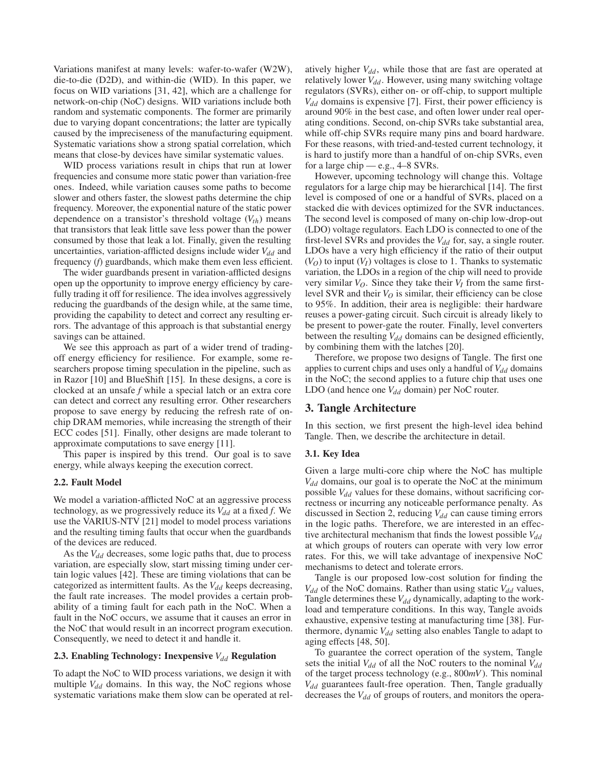Variations manifest at many levels: wafer-to-wafer (W2W), die-to-die (D2D), and within-die (WID). In this paper, we focus on WID variations [31, 42], which are a challenge for network-on-chip (NoC) designs. WID variations include both random and systematic components. The former are primarily due to varying dopant concentrations; the latter are typically caused by the impreciseness of the manufacturing equipment. Systematic variations show a strong spatial correlation, which means that close-by devices have similar systematic values.

WID process variations result in chips that run at lower frequencies and consume more static power than variation-free ones. Indeed, while variation causes some paths to become slower and others faster, the slowest paths determine the chip frequency. Moreover, the exponential nature of the static power dependence on a transistor's threshold voltage  $(V<sub>th</sub>)$  means that transistors that leak little save less power than the power consumed by those that leak a lot. Finally, given the resulting uncertainties, variation-afflicted designs include wider *V<sub>dd</sub>* and frequency (*f*) guardbands, which make them even less efficient.

The wider guardbands present in variation-afflicted designs open up the opportunity to improve energy efficiency by carefully trading it off for resilience. The idea involves aggressively reducing the guardbands of the design while, at the same time, providing the capability to detect and correct any resulting errors. The advantage of this approach is that substantial energy savings can be attained.

We see this approach as part of a wider trend of tradingoff energy efficiency for resilience. For example, some researchers propose timing speculation in the pipeline, such as in Razor [10] and BlueShift [15]. In these designs, a core is clocked at an unsafe *f* while a special latch or an extra core can detect and correct any resulting error. Other researchers propose to save energy by reducing the refresh rate of onchip DRAM memories, while increasing the strength of their ECC codes [51]. Finally, other designs are made tolerant to approximate computations to save energy [11].

This paper is inspired by this trend. Our goal is to save energy, while always keeping the execution correct.

### 2.2. Fault Model

We model a variation-afflicted NoC at an aggressive process technology, as we progressively reduce its  $V_{dd}$  at a fixed  $f$ . We use the VARIUS-NTV [21] model to model process variations and the resulting timing faults that occur when the guardbands of the devices are reduced.

As the *V<sub>dd</sub>* decreases, some logic paths that, due to process variation, are especially slow, start missing timing under certain logic values [42]. These are timing violations that can be categorized as intermittent faults. As the *V*<sub>dd</sub> keeps decreasing, the fault rate increases. The model provides a certain probability of a timing fault for each path in the NoC. When a fault in the NoC occurs, we assume that it causes an error in the NoC that would result in an incorrect program execution. Consequently, we need to detect it and handle it.

### 2.3. Enabling Technology: Inexpensive  $V_{dd}$  Regulation

To adapt the NoC to WID process variations, we design it with multiple *V<sub>dd</sub>* domains. In this way, the NoC regions whose systematic variations make them slow can be operated at relatively higher  $V_{dd}$ , while those that are fast are operated at relatively lower  $V_{dd}$ . However, using many switching voltage regulators (SVRs), either on- or off-chip, to support multiple  $V_{dd}$  domains is expensive [7]. First, their power efficiency is around 90% in the best case, and often lower under real operating conditions. Second, on-chip SVRs take substantial area, while off-chip SVRs require many pins and board hardware. For these reasons, with tried-and-tested current technology, it is hard to justify more than a handful of on-chip SVRs, even for a large chip — e.g.,  $4-8$  SVRs.

However, upcoming technology will change this. Voltage regulators for a large chip may be hierarchical [14]. The first level is composed of one or a handful of SVRs, placed on a stacked die with devices optimized for the SVR inductances. The second level is composed of many on-chip low-drop-out (LDO) voltage regulators. Each LDO is connected to one of the first-level SVRs and provides the  $V_{dd}$  for, say, a single router. LDOs have a very high efficiency if the ratio of their output  $(V<sub>O</sub>)$  to input  $(V<sub>I</sub>)$  voltages is close to 1. Thanks to systematic variation, the LDOs in a region of the chip will need to provide very similar  $V_O$ . Since they take their  $V_I$  from the same firstlevel SVR and their  $V<sub>O</sub>$  is similar, their efficiency can be close to 95%. In addition, their area is negligible: their hardware reuses a power-gating circuit. Such circuit is already likely to be present to power-gate the router. Finally, level converters between the resulting  $V_{dd}$  domains can be designed efficiently, by combining them with the latches [20].

Therefore, we propose two designs of Tangle. The first one applies to current chips and uses only a handful of  $V_{dd}$  domains in the NoC; the second applies to a future chip that uses one LDO (and hence one  $V_{dd}$  domain) per NoC router.

### 3. Tangle Architecture

In this section, we first present the high-level idea behind Tangle. Then, we describe the architecture in detail.

### 3.1. Key Idea

Given a large multi-core chip where the NoC has multiple *Vdd* domains, our goal is to operate the NoC at the minimum possible *V<sub>dd</sub>* values for these domains, without sacrificing correctness or incurring any noticeable performance penalty. As discussed in Section 2, reducing *V<sub>dd</sub>* can cause timing errors in the logic paths. Therefore, we are interested in an effective architectural mechanism that finds the lowest possible  $V_{dd}$ at which groups of routers can operate with very low error rates. For this, we will take advantage of inexpensive NoC mechanisms to detect and tolerate errors.

Tangle is our proposed low-cost solution for finding the  $V_{dd}$  of the NoC domains. Rather than using static  $V_{dd}$  values, Tangle determines these  $V_{dd}$  dynamically, adapting to the workload and temperature conditions. In this way, Tangle avoids exhaustive, expensive testing at manufacturing time [38]. Furthermore, dynamic  $V_{dd}$  setting also enables Tangle to adapt to aging effects [48, 50].

To guarantee the correct operation of the system, Tangle sets the initial  $V_{dd}$  of all the NoC routers to the nominal  $V_{dd}$ of the target process technology (e.g., 800*mV*). This nominal *Vdd* guarantees fault-free operation. Then, Tangle gradually decreases the  $V_{dd}$  of groups of routers, and monitors the opera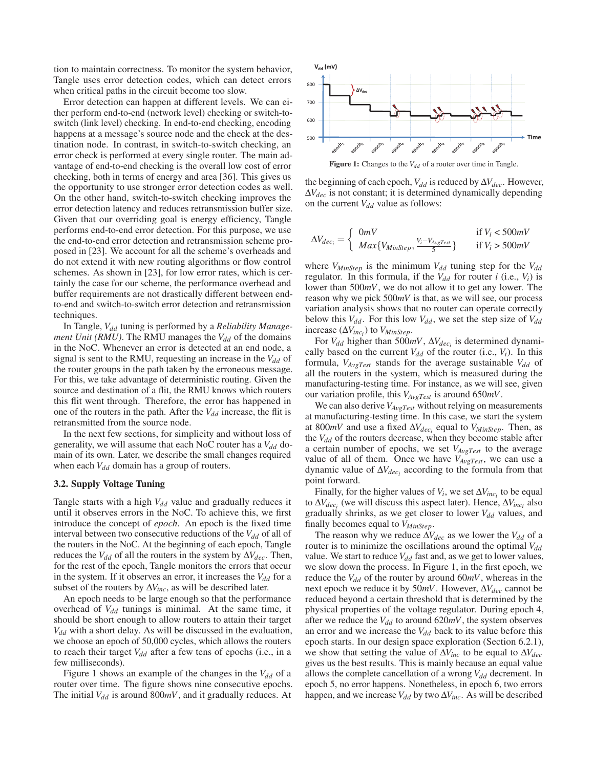tion to maintain correctness. To monitor the system behavior, Tangle uses error detection codes, which can detect errors when critical paths in the circuit become too slow.

Error detection can happen at different levels. We can either perform end-to-end (network level) checking or switch-toswitch (link level) checking. In end-to-end checking, encoding happens at a message's source node and the check at the destination node. In contrast, in switch-to-switch checking, an error check is performed at every single router. The main advantage of end-to-end checking is the overall low cost of error checking, both in terms of energy and area [36]. This gives us the opportunity to use stronger error detection codes as well. On the other hand, switch-to-switch checking improves the error detection latency and reduces retransmission buffer size. Given that our overriding goal is energy efficiency, Tangle performs end-to-end error detection. For this purpose, we use the end-to-end error detection and retransmission scheme proposed in [23]. We account for all the scheme's overheads and do not extend it with new routing algorithms or flow control schemes. As shown in [23], for low error rates, which is certainly the case for our scheme, the performance overhead and buffer requirements are not drastically different between endto-end and switch-to-switch error detection and retransmission techniques.

In Tangle,  $V_{dd}$  tuning is performed by a *Reliability Management Unit (RMU)*. The RMU manages the  $V_{dd}$  of the domains in the NoC. Whenever an error is detected at an end node, a signal is sent to the RMU, requesting an increase in the  $V_{dd}$  of the router groups in the path taken by the erroneous message. For this, we take advantage of deterministic routing. Given the source and destination of a flit, the RMU knows which routers this flit went through. Therefore, the error has happened in one of the routers in the path. After the  $V_{dd}$  increase, the flit is retransmitted from the source node.

In the next few sections, for simplicity and without loss of generality, we will assume that each NoC router has a  $V_{dd}$  domain of its own. Later, we describe the small changes required when each  $V_{dd}$  domain has a group of routers.

### 3.2. Supply Voltage Tuning

Tangle starts with a high  $V_{dd}$  value and gradually reduces it until it observes errors in the NoC. To achieve this, we first introduce the concept of *epoch*. An epoch is the fixed time interval between two consecutive reductions of the  $V_{dd}$  of all of the routers in the NoC. At the beginning of each epoch, Tangle reduces the  $V_{dd}$  of all the routers in the system by  $\Delta V_{dec}$ . Then, for the rest of the epoch, Tangle monitors the errors that occur in the system. If it observes an error, it increases the  $V_{dd}$  for a subset of the routers by  $\Delta V_{inc}$ , as will be described later.

An epoch needs to be large enough so that the performance overhead of  $V_{dd}$  tunings is minimal. At the same time, it should be short enough to allow routers to attain their target  $V_{dd}$  with a short delay. As will be discussed in the evaluation, we choose an epoch of 50,000 cycles, which allows the routers to reach their target  $V_{dd}$  after a few tens of epochs (i.e., in a few milliseconds).

Figure 1 shows an example of the changes in the  $V_{dd}$  of a router over time. The figure shows nine consecutive epochs. The initial  $V_{dd}$  is around 800 $mV$ , and it gradually reduces. At



Figure 1: Changes to the *V<sub>dd</sub>* of a router over time in Tangle.

the beginning of each epoch, *V*<sub>dd</sub> is reduced by Δ*V*<sub>dec</sub>. However, Δ*Vdec* is not constant; it is determined dynamically depending on the current  $V_{dd}$  value as follows:

$$
\Delta V_{dec_i} = \begin{cases} 0 \, mV & \text{if } V_i < 500 \, mV \\ \, Max\{V_{MinStep}, \frac{V_i - V_{AvgTest}}{5}\} & \text{if } V_i > 500 \, mV \end{cases}
$$

where  $V_{MinStep}$  is the minimum  $V_{dd}$  tuning step for the  $V_{dd}$ regulator. In this formula, if the  $V_{dd}$  for router *i* (i.e.,  $V_i$ ) is lower than 500*mV*, we do not allow it to get any lower. The reason why we pick 500*mV* is that, as we will see, our process variation analysis shows that no router can operate correctly below this  $V_{dd}$ . For this low  $V_{dd}$ , we set the step size of  $V_{dd}$ increase  $(\Delta V_{inc_i})$  to  $V_{MinStep}$ .

For  $V_{dd}$  higher than 500*mV*,  $\Delta V_{dec_i}$  is determined dynamically based on the current  $V_{dd}$  of the router (i.e.,  $V_i$ ). In this formula,  $V_{AvgTest}$  stands for the average sustainable  $V_{dd}$  of all the routers in the system, which is measured during the manufacturing-testing time. For instance, as we will see, given our variation profile, this *VAvgTest* is around 650*mV*.

We can also derive  $V_{AvgTest}$  without relying on measurements at manufacturing-testing time. In this case, we start the system at 800 $mV$  and use a fixed  $\Delta V_{dec_i}$  equal to  $V_{MinStep}$ . Then, as the  $V_{dd}$  of the routers decrease, when they become stable after a certain number of epochs, we set *VAvgTest* to the average value of all of them. Once we have  $V_{AvgTest}$ , we can use a dynamic value of  $\Delta V_{dec_i}$  according to the formula from that point forward.

Finally, for the higher values of  $V_i$ , we set  $\Delta V_{inc_i}$  to be equal to  $\Delta V_{dec_i}$  (we will discuss this aspect later). Hence,  $\Delta V_{inc_i}$  also gradually shrinks, as we get closer to lower  $V_{dd}$  values, and finally becomes equal to *VMinStep*.

The reason why we reduce  $\Delta V_{dec}$  as we lower the  $V_{dd}$  of a router is to minimize the oscillations around the optimal  $V_{dd}$ value. We start to reduce  $V_{dd}$  fast and, as we get to lower values, we slow down the process. In Figure 1, in the first epoch, we reduce the  $V_{dd}$  of the router by around 60*mV*, whereas in the next epoch we reduce it by 50*mV*. However,  $\Delta V_{dec}$  cannot be reduced beyond a certain threshold that is determined by the physical properties of the voltage regulator. During epoch 4, after we reduce the  $V_{dd}$  to around 620 $mV$ , the system observes an error and we increase the  $V_{dd}$  back to its value before this epoch starts. In our design space exploration (Section 6.2.1), we show that setting the value of Δ*Vinc* to be equal to Δ*Vdec* gives us the best results. This is mainly because an equal value allows the complete cancellation of a wrong  $V_{dd}$  decrement. In epoch 5, no error happens. Nonetheless, in epoch 6, two errors happen, and we increase  $V_{dd}$  by two  $\Delta V_{inc}$ . As will be described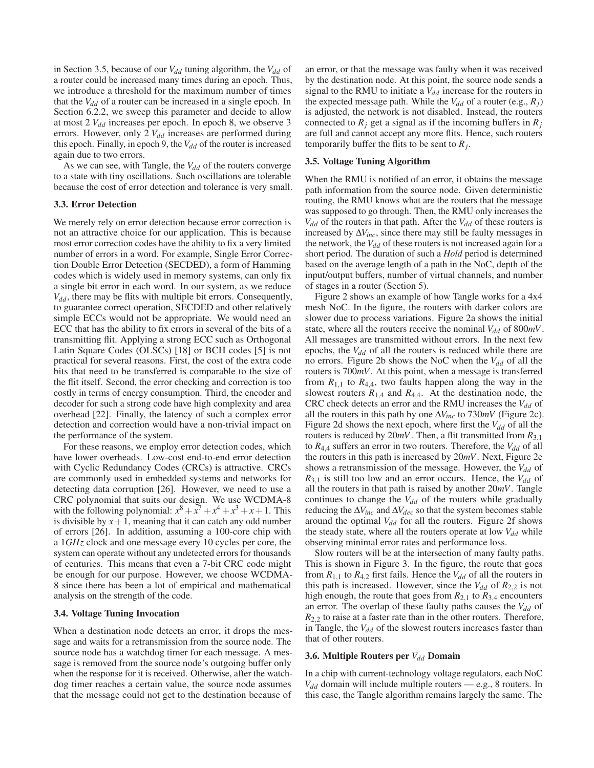in Section 3.5, because of our  $V_{dd}$  tuning algorithm, the  $V_{dd}$  of a router could be increased many times during an epoch. Thus, we introduce a threshold for the maximum number of times that the  $V_{dd}$  of a router can be increased in a single epoch. In Section 6.2.2, we sweep this parameter and decide to allow at most 2  $V_{dd}$  increases per epoch. In epoch 8, we observe 3 errors. However, only 2  $V_{dd}$  increases are performed during this epoch. Finally, in epoch 9, the  $V_{dd}$  of the router is increased again due to two errors.

As we can see, with Tangle, the  $V_{dd}$  of the routers converge to a state with tiny oscillations. Such oscillations are tolerable because the cost of error detection and tolerance is very small.

### 3.3. Error Detection

We merely rely on error detection because error correction is not an attractive choice for our application. This is because most error correction codes have the ability to fix a very limited number of errors in a word. For example, Single Error Correction Double Error Detection (SECDED), a form of Hamming codes which is widely used in memory systems, can only fix a single bit error in each word. In our system, as we reduce *Vdd*, there may be flits with multiple bit errors. Consequently, to guarantee correct operation, SECDED and other relatively simple ECCs would not be appropriate. We would need an ECC that has the ability to fix errors in several of the bits of a transmitting flit. Applying a strong ECC such as Orthogonal Latin Square Codes (OLSCs) [18] or BCH codes [5] is not practical for several reasons. First, the cost of the extra code bits that need to be transferred is comparable to the size of the flit itself. Second, the error checking and correction is too costly in terms of energy consumption. Third, the encoder and decoder for such a strong code have high complexity and area overhead [22]. Finally, the latency of such a complex error detection and correction would have a non-trivial impact on the performance of the system.

For these reasons, we employ error detection codes, which have lower overheads. Low-cost end-to-end error detection with Cyclic Redundancy Codes (CRCs) is attractive. CRCs are commonly used in embedded systems and networks for detecting data corruption [26]. However, we need to use a CRC polynomial that suits our design. We use WCDMA-8 with the following polynomial:  $x^8 + x^7 + x^4 + x^3 + x + 1$ . This is divisible by  $x + 1$ , meaning that it can catch any odd number of errors [26]. In addition, assuming a 100-core chip with a 1*GHz* clock and one message every 10 cycles per core, the system can operate without any undetected errors for thousands of centuries. This means that even a 7-bit CRC code might be enough for our purpose. However, we choose WCDMA-8 since there has been a lot of empirical and mathematical analysis on the strength of the code.

### 3.4. Voltage Tuning Invocation

When a destination node detects an error, it drops the message and waits for a retransmission from the source node. The source node has a watchdog timer for each message. A message is removed from the source node's outgoing buffer only when the response for it is received. Otherwise, after the watchdog timer reaches a certain value, the source node assumes that the message could not get to the destination because of

an error, or that the message was faulty when it was received by the destination node. At this point, the source node sends a signal to the RMU to initiate a  $V_{dd}$  increase for the routers in the expected message path. While the  $V_{dd}$  of a router (e.g.,  $R_i$ ) is adjusted, the network is not disabled. Instead, the routers connected to  $R_j$  get a signal as if the incoming buffers in  $R_j$ are full and cannot accept any more flits. Hence, such routers temporarily buffer the flits to be sent to  $R_i$ .

#### 3.5. Voltage Tuning Algorithm

When the RMU is notified of an error, it obtains the message path information from the source node. Given deterministic routing, the RMU knows what are the routers that the message was supposed to go through. Then, the RMU only increases the  $V_{dd}$  of the routers in that path. After the  $V_{dd}$  of these routers is increased by  $\Delta V_{inc}$ , since there may still be faulty messages in the network, the  $V_{dd}$  of these routers is not increased again for a short period. The duration of such a *Hold* period is determined based on the average length of a path in the NoC, depth of the input/output buffers, number of virtual channels, and number of stages in a router (Section 5).

Figure 2 shows an example of how Tangle works for a 4x4 mesh NoC. In the figure, the routers with darker colors are slower due to process variations. Figure 2a shows the initial state, where all the routers receive the nominal  $V_{dd}$  of 800*mV*. All messages are transmitted without errors. In the next few epochs, the  $V_{dd}$  of all the routers is reduced while there are no errors. Figure 2b shows the NoC when the *V*<sub>dd</sub> of all the routers is 700*mV*. At this point, when a message is transferred from  $R_{1,1}$  to  $R_{4,4}$ , two faults happen along the way in the slowest routers  $R_{1,4}$  and  $R_{4,4}$ . At the destination node, the CRC check detects an error and the RMU increases the  $V_{dd}$  of all the routers in this path by one Δ*Vinc* to 730*mV* (Figure 2c). Figure 2d shows the next epoch, where first the *V*<sub>dd</sub> of all the routers is reduced by 20*mV*. Then, a flit transmitted from *R*3,<sup>1</sup> to  $R_{4,4}$  suffers an error in two routers. Therefore, the  $V_{dd}$  of all the routers in this path is increased by 20*mV*. Next, Figure 2e shows a retransmission of the message. However, the  $V_{dd}$  of  $R_{3,1}$  is still too low and an error occurs. Hence, the  $V_{dd}$  of all the routers in that path is raised by another 20*mV*. Tangle continues to change the  $V_{dd}$  of the routers while gradually reducing the  $\Delta V_{inc}$  and  $\Delta V_{dec}$  so that the system becomes stable around the optimal  $V_{dd}$  for all the routers. Figure 2f shows the steady state, where all the routers operate at low  $V_{dd}$  while observing minimal error rates and performance loss.

Slow routers will be at the intersection of many faulty paths. This is shown in Figure 3. In the figure, the route that goes from  $R_{1,1}$  to  $R_{4,2}$  first fails. Hence the  $V_{dd}$  of all the routers in this path is increased. However, since the  $V_{dd}$  of  $R_{2,2}$  is not high enough, the route that goes from  $R_{2,1}$  to  $R_{3,4}$  encounters an error. The overlap of these faulty paths causes the *V*<sub>dd</sub> of  $R_{2,2}$  to raise at a faster rate than in the other routers. Therefore, in Tangle, the  $V_{dd}$  of the slowest routers increases faster than that of other routers.

### 3.6. Multiple Routers per *V<sub>dd</sub>* Domain

In a chip with current-technology voltage regulators, each NoC *Vdd* domain will include multiple routers — e.g., 8 routers. In this case, the Tangle algorithm remains largely the same. The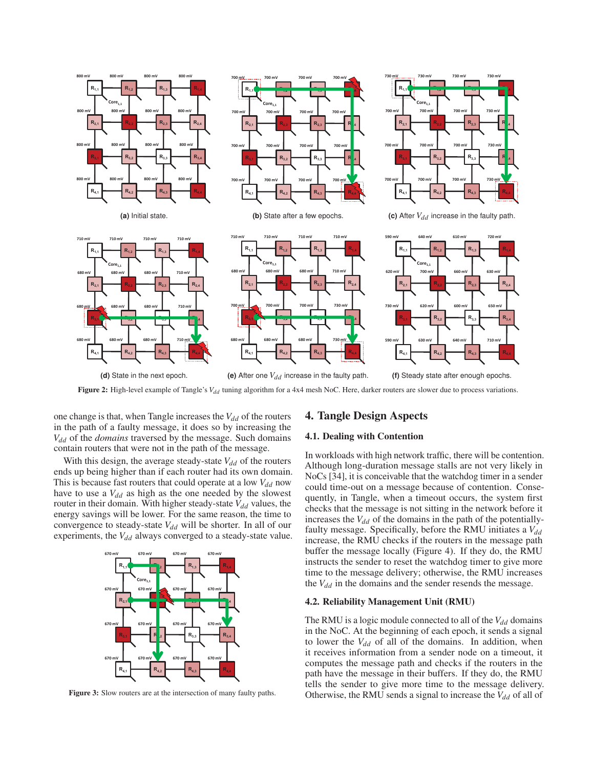

Figure 2: High-level example of Tangle's V<sub>dd</sub> tuning algorithm for a 4x4 mesh NoC. Here, darker routers are slower due to process variations.

one change is that, when Tangle increases the  $V_{dd}$  of the routers in the path of a faulty message, it does so by increasing the *Vdd* of the *domains* traversed by the message. Such domains contain routers that were not in the path of the message.

With this design, the average steady-state  $V_{dd}$  of the routers ends up being higher than if each router had its own domain. This is because fast routers that could operate at a low  $V_{dd}$  now have to use a  $V_{dd}$  as high as the one needed by the slowest router in their domain. With higher steady-state  $V_{dd}$  values, the energy savings will be lower. For the same reason, the time to convergence to steady-state  $V_{dd}$  will be shorter. In all of our experiments, the  $V_{dd}$  always converged to a steady-state value.



Figure 3: Slow routers are at the intersection of many faulty paths.

### 4. Tangle Design Aspects

### 4.1. Dealing with Contention

In workloads with high network traffic, there will be contention. Although long-duration message stalls are not very likely in NoCs [34], it is conceivable that the watchdog timer in a sender could time-out on a message because of contention. Consequently, in Tangle, when a timeout occurs, the system first checks that the message is not sitting in the network before it increases the  $V_{dd}$  of the domains in the path of the potentiallyfaulty message. Specifically, before the RMU initiates a  $V_{dd}$ increase, the RMU checks if the routers in the message path buffer the message locally (Figure 4). If they do, the RMU instructs the sender to reset the watchdog timer to give more time to the message delivery; otherwise, the RMU increases the  $V_{dd}$  in the domains and the sender resends the message.

#### 4.2. Reliability Management Unit (RMU)

The RMU is a logic module connected to all of the  $V_{dd}$  domains in the NoC. At the beginning of each epoch, it sends a signal to lower the  $V_{dd}$  of all of the domains. In addition, when it receives information from a sender node on a timeout, it computes the message path and checks if the routers in the path have the message in their buffers. If they do, the RMU tells the sender to give more time to the message delivery. Otherwise, the RMU sends a signal to increase the  $V_{dd}$  of all of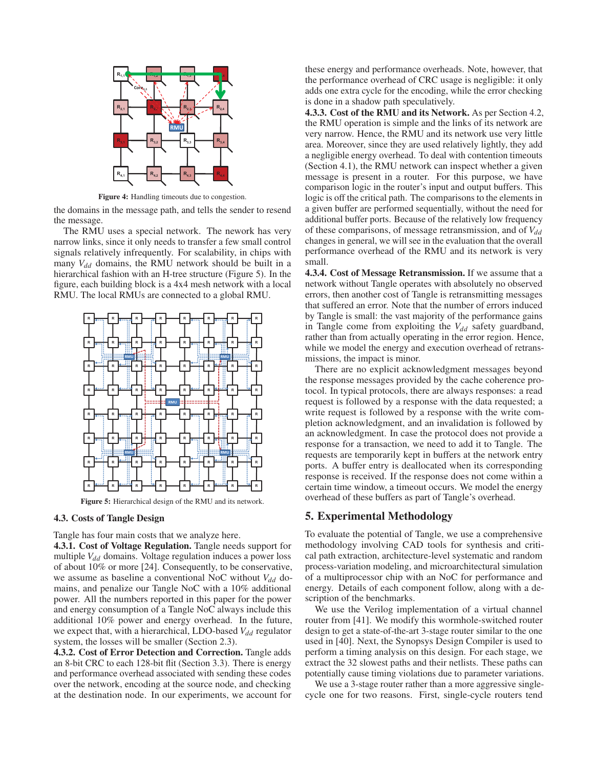

Figure 4: Handling timeouts due to congestion.

the domains in the message path, and tells the sender to resend the message.

The RMU uses a special network. The nework has very narrow links, since it only needs to transfer a few small control signals relatively infrequently. For scalability, in chips with many  $V_{dd}$  domains, the RMU network should be built in a hierarchical fashion with an H-tree structure (Figure 5). In the figure, each building block is a 4x4 mesh network with a local RMU. The local RMUs are connected to a global RMU.



Figure 5: Hierarchical design of the RMU and its network.

### 4.3. Costs of Tangle Design

Tangle has four main costs that we analyze here.

4.3.1. Cost of Voltage Regulation. Tangle needs support for multiple *V<sub>dd</sub>* domains. Voltage regulation induces a power loss of about 10% or more [24]. Consequently, to be conservative, we assume as baseline a conventional NoC without  $V_{dd}$  domains, and penalize our Tangle NoC with a 10% additional power. All the numbers reported in this paper for the power and energy consumption of a Tangle NoC always include this additional 10% power and energy overhead. In the future, we expect that, with a hierarchical, LDO-based *V*<sub>dd</sub> regulator system, the losses will be smaller (Section 2.3).

4.3.2. Cost of Error Detection and Correction. Tangle adds an 8-bit CRC to each 128-bit flit (Section 3.3). There is energy and performance overhead associated with sending these codes over the network, encoding at the source node, and checking at the destination node. In our experiments, we account for these energy and performance overheads. Note, however, that the performance overhead of CRC usage is negligible: it only adds one extra cycle for the encoding, while the error checking is done in a shadow path speculatively.

4.3.3. Cost of the RMU and its Network. As per Section 4.2, the RMU operation is simple and the links of its network are very narrow. Hence, the RMU and its network use very little area. Moreover, since they are used relatively lightly, they add a negligible energy overhead. To deal with contention timeouts (Section 4.1), the RMU network can inspect whether a given message is present in a router. For this purpose, we have comparison logic in the router's input and output buffers. This logic is off the critical path. The comparisons to the elements in a given buffer are performed sequentially, without the need for additional buffer ports. Because of the relatively low frequency of these comparisons, of message retransmission, and of *V*<sub>dd</sub> changes in general, we will see in the evaluation that the overall performance overhead of the RMU and its network is very small.

4.3.4. Cost of Message Retransmission. If we assume that a network without Tangle operates with absolutely no observed errors, then another cost of Tangle is retransmitting messages that suffered an error. Note that the number of errors induced by Tangle is small: the vast majority of the performance gains in Tangle come from exploiting the  $V_{dd}$  safety guardband, rather than from actually operating in the error region. Hence, while we model the energy and execution overhead of retransmissions, the impact is minor.

There are no explicit acknowledgment messages beyond the response messages provided by the cache coherence protocol. In typical protocols, there are always responses: a read request is followed by a response with the data requested; a write request is followed by a response with the write completion acknowledgment, and an invalidation is followed by an acknowledgment. In case the protocol does not provide a response for a transaction, we need to add it to Tangle. The requests are temporarily kept in buffers at the network entry ports. A buffer entry is deallocated when its corresponding response is received. If the response does not come within a certain time window, a timeout occurs. We model the energy overhead of these buffers as part of Tangle's overhead.

### 5. Experimental Methodology

To evaluate the potential of Tangle, we use a comprehensive methodology involving CAD tools for synthesis and critical path extraction, architecture-level systematic and random process-variation modeling, and microarchitectural simulation of a multiprocessor chip with an NoC for performance and energy. Details of each component follow, along with a description of the benchmarks.

We use the Verilog implementation of a virtual channel router from [41]. We modify this wormhole-switched router design to get a state-of-the-art 3-stage router similar to the one used in [40]. Next, the Synopsys Design Compiler is used to perform a timing analysis on this design. For each stage, we extract the 32 slowest paths and their netlists. These paths can potentially cause timing violations due to parameter variations.

We use a 3-stage router rather than a more aggressive singlecycle one for two reasons. First, single-cycle routers tend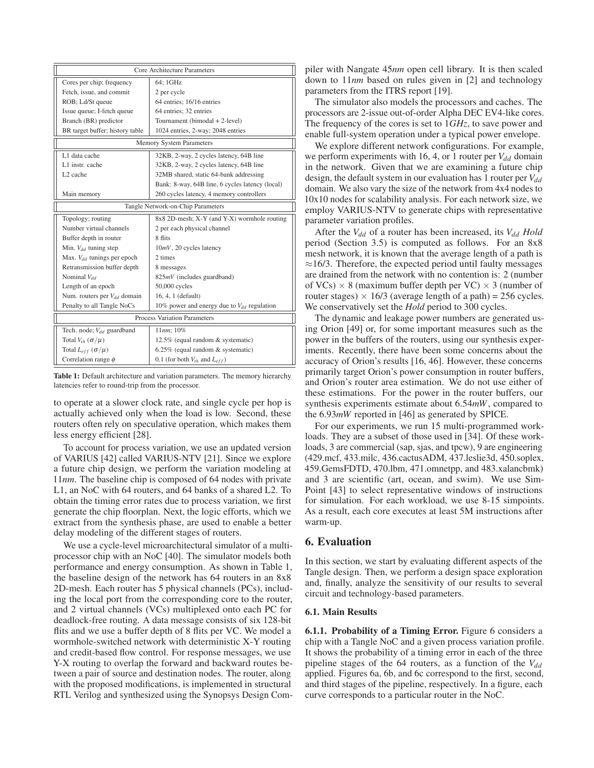|                                       | Core Architecture Parameters                    |  |  |  |  |  |
|---------------------------------------|-------------------------------------------------|--|--|--|--|--|
| Cores per chip; frequency             | 64; 1GHz                                        |  |  |  |  |  |
| Fetch, issue, and commit              | 2 per cycle                                     |  |  |  |  |  |
| ROB; Ld/St queue                      | 64 entries; 16/16 entries                       |  |  |  |  |  |
| Issue queue; I-fetch queue            | 64 entries; 32 entries                          |  |  |  |  |  |
| Branch (BR) predictor                 | Tournament (bimodal + 2-level)                  |  |  |  |  |  |
| BR target buffer; history table       | 1024 entries, 2-way; 2048 entries               |  |  |  |  |  |
| <b>Memory System Parameters</b>       |                                                 |  |  |  |  |  |
| L1 data cache                         | 32KB, 2-way, 2 cycles latency, 64B line         |  |  |  |  |  |
| L1 instr. cache                       | 32KB, 2-way, 2 cycles latency, 64B line         |  |  |  |  |  |
| L <sub>2</sub> cache                  | 32MB shared, static 64-bank addressing          |  |  |  |  |  |
|                                       | Bank: 8-way, 64B line, 6 cycles latency (local) |  |  |  |  |  |
| Main memory                           | 260 cycles latency, 4 memory controllers        |  |  |  |  |  |
| Tangle Network-on-Chip Parameters     |                                                 |  |  |  |  |  |
| Topology; routing                     | 8x8 2D-mesh; X-Y (and Y-X) wormhole routing     |  |  |  |  |  |
| Number virtual channels               | 2 per each physical channel                     |  |  |  |  |  |
| Buffer depth in router                | 8 flits                                         |  |  |  |  |  |
| Min. $V_{dd}$ tuning step             | $10mV$ , 20 cycles latency                      |  |  |  |  |  |
| Max. $V_{dd}$ tunings per epoch       | 2 times                                         |  |  |  |  |  |
| Retransmission buffer depth           | 8 messages                                      |  |  |  |  |  |
| Nominal $V_{dd}$                      | $825mV$ (includes guardband)                    |  |  |  |  |  |
| Length of an epoch                    | 50,000 cycles                                   |  |  |  |  |  |
| Num. routers per $V_{dd}$ domain      | 16, 4, 1 (default)                              |  |  |  |  |  |
| Penalty to all Tangle NoCs            | 10% power and energy due to $V_{dd}$ regulation |  |  |  |  |  |
| <b>Process Variation Parameters</b>   |                                                 |  |  |  |  |  |
| Tech. node; V <sub>dd</sub> guardband | 11nm:10%                                        |  |  |  |  |  |
| Total $V_{th}$ ( $\sigma/\mu$ )       | 12.5% (equal random & systematic)               |  |  |  |  |  |
| Total $L_{eff}$ ( $\sigma/\mu$ )      | 6.25% (equal random & systematic)               |  |  |  |  |  |
| Correlation range $\phi$              | 0.1 (for both $V_{th}$ and $L_{eff}$ )          |  |  |  |  |  |

Table 1: Default architecture and variation parameters. The memory hierarchy latencies refer to round-trip from the processor.

to operate at a slower clock rate, and single cycle per hop is actually achieved only when the load is low. Second, these routers often rely on speculative operation, which makes them less energy efficient [28].

To account for process variation, we use an updated version of VARIUS [42] called VARIUS-NTV [21]. Since we explore a future chip design, we perform the variation modeling at 11*nm*. The baseline chip is composed of 64 nodes with private L1, an NoC with 64 routers, and 64 banks of a shared L2. To obtain the timing error rates due to process variation, we first generate the chip floorplan. Next, the logic efforts, which we extract from the synthesis phase, are used to enable a better delay modeling of the different stages of routers.

We use a cycle-level microarchitectural simulator of a multiprocessor chip with an NoC [40]. The simulator models both performance and energy consumption. As shown in Table 1, the baseline design of the network has 64 routers in an 8x8 2D-mesh. Each router has 5 physical channels (PCs), including the local port from the corresponding core to the router, and 2 virtual channels (VCs) multiplexed onto each PC for deadlock-free routing. A data message consists of six 128-bit flits and we use a buffer depth of 8 flits per VC. We model a wormhole-switched network with deterministic X-Y routing and credit-based flow control. For response messages, we use Y-X routing to overlap the forward and backward routes between a pair of source and destination nodes. The router, along with the proposed modifications, is implemented in structural RTL Verilog and synthesized using the Synopsys Design Compiler with Nangate 45*nm* open cell library. It is then scaled down to 11*nm* based on rules given in [2] and technology parameters from the ITRS report [19].

The simulator also models the processors and caches. The processors are 2-issue out-of-order Alpha DEC EV4-like cores. The frequency of the cores is set to 1*GHz*, to save power and enable full-system operation under a typical power envelope.

We explore different network configurations. For example, we perform experiments with 16, 4, or 1 router per  $V_{dd}$  domain in the network. Given that we are examining a future chip design, the default system in our evaluation has 1 router per  $V_{dd}$ domain. We also vary the size of the network from 4x4 nodes to 10x10 nodes for scalability analysis. For each network size, we employ VARIUS-NTV to generate chips with representative parameter variation profiles.

After the  $V_{dd}$  of a router has been increased, its  $V_{dd}$  *Hold* period (Section 3.5) is computed as follows. For an 8x8 mesh network, it is known that the average length of a path is  $\approx$ 16/3. Therefore, the expected period until faulty messages are drained from the network with no contention is: 2 (number of VCs)  $\times$  8 (maximum buffer depth per VC)  $\times$  3 (number of router stages)  $\times$  16/3 (average length of a path) = 256 cycles. We conservatively set the *Hold* period to 300 cycles.

The dynamic and leakage power numbers are generated using Orion [49] or, for some important measures such as the power in the buffers of the routers, using our synthesis experiments. Recently, there have been some concerns about the accuracy of Orion's results [16, 46]. However, these concerns primarily target Orion's power consumption in router buffers, and Orion's router area estimation. We do not use either of these estimations. For the power in the router buffers, our synthesis experiments estimate about 6.54*mW*, compared to the 6.93*mW* reported in [46] as generated by SPICE.

For our experiments, we run 15 multi-programmed workloads. They are a subset of those used in [34]. Of these workloads, 3 are commercial (sap, sjas, and tpcw), 9 are engineering (429.mcf, 433.milc, 436.cactusADM, 437.leslie3d, 450.soplex, 459.GemsFDTD, 470.lbm, 471.omnetpp, and 483.xalancbmk) and 3 are scientific (art, ocean, and swim). We use Sim-Point [43] to select representative windows of instructions for simulation. For each workload, we use 8-15 simpoints. As a result, each core executes at least 5M instructions after warm-up.

## 6. Evaluation

In this section, we start by evaluating different aspects of the Tangle design. Then, we perform a design space exploration and, finally, analyze the sensitivity of our results to several circuit and technology-based parameters.

### 6.1. Main Results

6.1.1. Probability of a Timing Error. Figure 6 considers a chip with a Tangle NoC and a given process variation profile. It shows the probability of a timing error in each of the three pipeline stages of the  $64$  routers, as a function of the  $V_{dd}$ applied. Figures 6a, 6b, and 6c correspond to the first, second, and third stages of the pipeline, respectively. In a figure, each curve corresponds to a particular router in the NoC.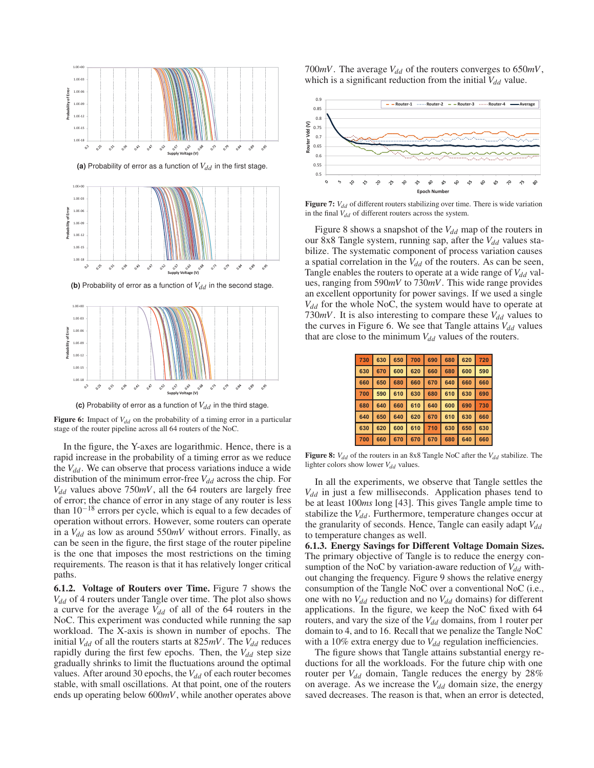

**(c)** Probability of error as a function of  $V_{dd}$  in the third stage.

**Figure 6:** Impact of  $V_{dd}$  on the probability of a timing error in a particular stage of the router pipeline across all 64 routers of the NoC.

In the figure, the Y-axes are logarithmic. Hence, there is a rapid increase in the probability of a timing error as we reduce the  $V_{dd}$ . We can observe that process variations induce a wide distribution of the minimum error-free  $V_{dd}$  across the chip. For *Vdd* values above 750*mV*, all the 64 routers are largely free of error; the chance of error in any stage of any router is less than  $10^{-18}$  errors per cycle, which is equal to a few decades of operation without errors. However, some routers can operate in a  $V_{dd}$  as low as around 550 $mV$  without errors. Finally, as can be seen in the figure, the first stage of the router pipeline is the one that imposes the most restrictions on the timing requirements. The reason is that it has relatively longer critical paths.

6.1.2. Voltage of Routers over Time. Figure 7 shows the *Vdd* of 4 routers under Tangle over time. The plot also shows a curve for the average  $V_{dd}$  of all of the 64 routers in the NoC. This experiment was conducted while running the sap workload. The X-axis is shown in number of epochs. The initial  $V_{dd}$  of all the routers starts at 825*mV*. The  $V_{dd}$  reduces rapidly during the first few epochs. Then, the  $V_{dd}$  step size gradually shrinks to limit the fluctuations around the optimal values. After around 30 epochs, the  $V_{dd}$  of each router becomes stable, with small oscillations. At that point, one of the routers ends up operating below 600*mV*, while another operates above 700 $mV$ . The average  $V_{dd}$  of the routers converges to 650 $mV$ , which is a significant reduction from the initial  $V_{dd}$  value.



**Figure 7:**  $V_{dd}$  of different routers stabilizing over time. There is wide variation in the final  $V_{dd}$  of different routers across the system.

Figure 8 shows a snapshot of the  $V_{dd}$  map of the routers in our 8x8 Tangle system, running sap, after the *V*<sub>dd</sub> values stabilize. The systematic component of process variation causes a spatial correlation in the  $V_{dd}$  of the routers. As can be seen, Tangle enables the routers to operate at a wide range of  $V_{dd}$  values, ranging from 590*mV* to 730*mV*. This wide range provides an excellent opportunity for power savings. If we used a single *Vdd* for the whole NoC, the system would have to operate at 730 $mV$ . It is also interesting to compare these  $V_{dd}$  values to the curves in Figure 6. We see that Tangle attains  $V_{dd}$  values that are close to the minimum  $V_{dd}$  values of the routers.

| 730 630 650 700 690 680 620 720 |  |  |  |
|---------------------------------|--|--|--|
| 630 670 600 620 660 680 600 590 |  |  |  |
| 660 650 680 660 670 640 660 660 |  |  |  |
| 700 590 610 630 680 610 630 690 |  |  |  |
| 680 640 660 610 640 600 690 730 |  |  |  |
| 640 650 640 620 670 610 630 660 |  |  |  |
| 630 620 600 610 710 630 650 630 |  |  |  |
| 700 660 670 670 670 680 640 660 |  |  |  |

**Figure 8:**  $V_{dd}$  of the routers in an 8x8 Tangle NoC after the  $V_{dd}$  stabilize. The lighter colors show lower *V<sub>dd</sub>* values.

In all the experiments, we observe that Tangle settles the *Vdd* in just a few milliseconds. Application phases tend to be at least 100*ms* long [43]. This gives Tangle ample time to stabilize the  $V_{dd}$ . Furthermore, temperature changes occur at the granularity of seconds. Hence, Tangle can easily adapt  $V_{dd}$ to temperature changes as well.

6.1.3. Energy Savings for Different Voltage Domain Sizes. The primary objective of Tangle is to reduce the energy consumption of the NoC by variation-aware reduction of  $V_{dd}$  without changing the frequency. Figure 9 shows the relative energy consumption of the Tangle NoC over a conventional NoC (i.e., one with no  $V_{dd}$  reduction and no  $V_{dd}$  domains) for different applications. In the figure, we keep the NoC fixed with 64 routers, and vary the size of the  $V_{dd}$  domains, from 1 router per domain to 4, and to 16. Recall that we penalize the Tangle NoC with a 10% extra energy due to  $V_{dd}$  regulation inefficiencies.

The figure shows that Tangle attains substantial energy reductions for all the workloads. For the future chip with one router per  $V_{dd}$  domain, Tangle reduces the energy by 28% on average. As we increase the  $V_{dd}$  domain size, the energy saved decreases. The reason is that, when an error is detected,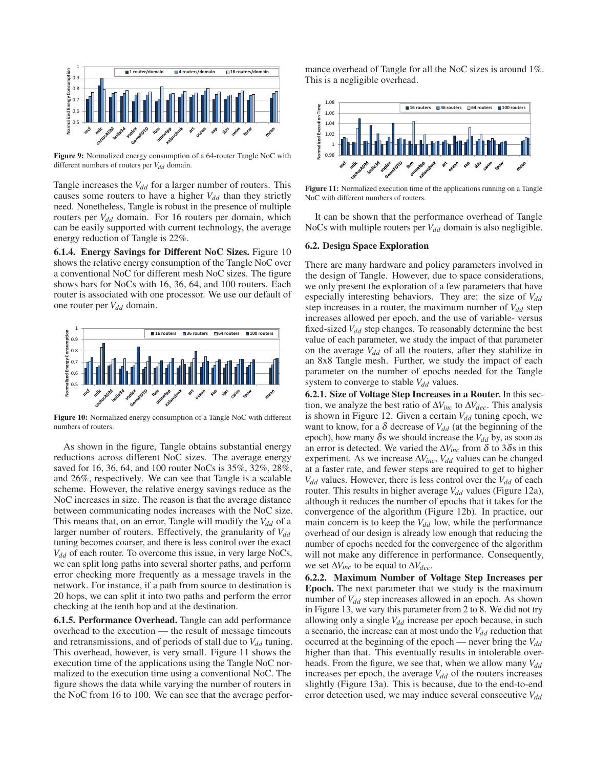

Figure 9: Normalized energy consumption of a 64-router Tangle NoC with different numbers of routers per  $V_{dd}$  domain.

Tangle increases the  $V_{dd}$  for a larger number of routers. This causes some routers to have a higher  $V_{dd}$  than they strictly need. Nonetheless, Tangle is robust in the presence of multiple routers per *V<sub>dd</sub>* domain. For 16 routers per domain, which can be easily supported with current technology, the average energy reduction of Tangle is 22%.

6.1.4. Energy Savings for Different NoC Sizes. Figure 10 shows the relative energy consumption of the Tangle NoC over a conventional NoC for different mesh NoC sizes. The figure shows bars for NoCs with 16, 36, 64, and 100 routers. Each router is associated with one processor. We use our default of one router per *V<sub>dd</sub>* domain.



Figure 10: Normalized energy consumption of a Tangle NoC with different numbers of routers.

As shown in the figure, Tangle obtains substantial energy reductions across different NoC sizes. The average energy saved for 16, 36, 64, and 100 router NoCs is 35%, 32%, 28%, and 26%, respectively. We can see that Tangle is a scalable scheme. However, the relative energy savings reduce as the NoC increases in size. The reason is that the average distance between communicating nodes increases with the NoC size. This means that, on an error, Tangle will modify the  $V_{dd}$  of a larger number of routers. Effectively, the granularity of  $V_{dd}$ tuning becomes coarser, and there is less control over the exact *Vdd* of each router. To overcome this issue, in very large NoCs, we can split long paths into several shorter paths, and perform error checking more frequently as a message travels in the network. For instance, if a path from source to destination is 20 hops, we can split it into two paths and perform the error checking at the tenth hop and at the destination.

6.1.5. Performance Overhead. Tangle can add performance overhead to the execution — the result of message timeouts and retransmissions, and of periods of stall due to  $V_{dd}$  tuning. This overhead, however, is very small. Figure 11 shows the execution time of the applications using the Tangle NoC normalized to the execution time using a conventional NoC. The figure shows the data while varying the number of routers in the NoC from 16 to 100. We can see that the average performance overhead of Tangle for all the NoC sizes is around 1%. This is a negligible overhead.



Figure 11: Normalized execution time of the applications running on a Tangle NoC with different numbers of routers.

It can be shown that the performance overhead of Tangle NoCs with multiple routers per  $V_{dd}$  domain is also negligible.

#### 6.2. Design Space Exploration

There are many hardware and policy parameters involved in the design of Tangle. However, due to space considerations, we only present the exploration of a few parameters that have especially interesting behaviors. They are: the size of  $V_{dd}$ step increases in a router, the maximum number of  $V_{dd}$  step increases allowed per epoch, and the use of variable- versus fixed-sized *V<sub>dd</sub>* step changes. To reasonably determine the best value of each parameter, we study the impact of that parameter on the average  $V_{dd}$  of all the routers, after they stabilize in an 8x8 Tangle mesh. Further, we study the impact of each parameter on the number of epochs needed for the Tangle system to converge to stable  $V_{dd}$  values.

6.2.1. Size of Voltage Step Increases in a Router. In this section, we analyze the best ratio of  $\Delta V_{inc}$  to  $\Delta V_{dec}$ . This analysis is shown in Figure 12. Given a certain  $V_{dd}$  tuning epoch, we want to know, for a  $\delta$  decrease of  $V_{dd}$  (at the beginning of the epoch), how many  $\delta$ s we should increase the  $V_{dd}$  by, as soon as an error is detected. We varied the  $\Delta V_{inc}$  from  $\delta$  to 3 $\delta$ s in this experiment. As we increase  $\Delta V_{inc}$ ,  $V_{dd}$  values can be changed at a faster rate, and fewer steps are required to get to higher  $V_{dd}$  values. However, there is less control over the  $V_{dd}$  of each router. This results in higher average  $V_{dd}$  values (Figure 12a), although it reduces the number of epochs that it takes for the convergence of the algorithm (Figure 12b). In practice, our main concern is to keep the  $V_{dd}$  low, while the performance overhead of our design is already low enough that reducing the number of epochs needed for the convergence of the algorithm will not make any difference in performance. Consequently, we set  $\Delta V_{inc}$  to be equal to  $\Delta V_{dec}$ .

6.2.2. Maximum Number of Voltage Step Increases per Epoch. The next parameter that we study is the maximum number of *V<sub>dd</sub>* step increases allowed in an epoch. As shown in Figure 13, we vary this parameter from 2 to 8. We did not try allowing only a single  $V_{dd}$  increase per epoch because, in such a scenario, the increase can at most undo the  $V_{dd}$  reduction that occurred at the beginning of the epoch — never bring the  $V_{dd}$ higher than that. This eventually results in intolerable overheads. From the figure, we see that, when we allow many  $V_{dd}$ increases per epoch, the average  $V_{dd}$  of the routers increases slightly (Figure 13a). This is because, due to the end-to-end error detection used, we may induce several consecutive *V<sub>dd</sub>*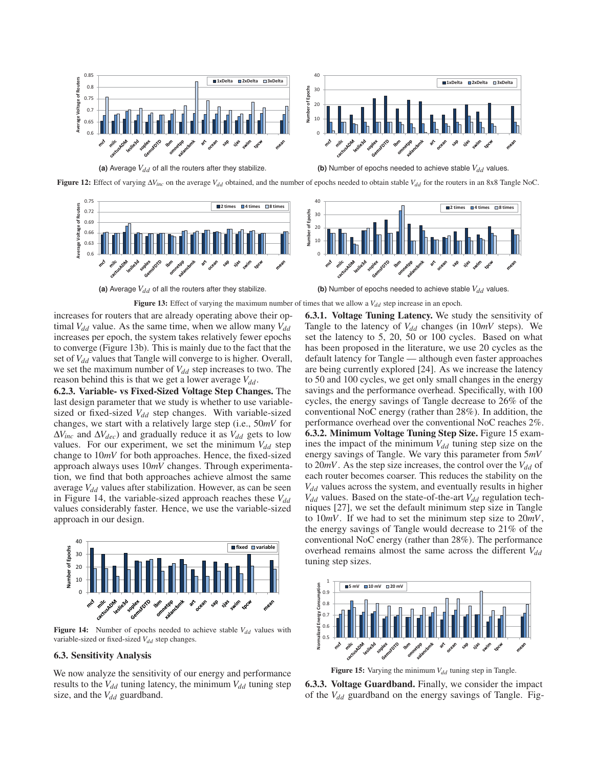

**Figure 12:** Effect of varying  $\Delta V_{inc}$  on the average  $V_{dd}$  obtained, and the number of epochs needed to obtain stable  $V_{dd}$  for the routers in an 8x8 Tangle NoC.



Figure 13: Effect of varying the maximum number of times that we allow a  $V_{dd}$  step increase in an epoch.

increases for routers that are already operating above their optimal  $V_{dd}$  value. As the same time, when we allow many  $V_{dd}$ increases per epoch, the system takes relatively fewer epochs to converge (Figure 13b). This is mainly due to the fact that the set of *V<sub>dd</sub>* values that Tangle will converge to is higher. Overall, we set the maximum number of  $V_{dd}$  step increases to two. The reason behind this is that we get a lower average  $V_{dd}$ .

6.2.3. Variable- vs Fixed-Sized Voltage Step Changes. The last design parameter that we study is whether to use variablesized or fixed-sized  $V_{dd}$  step changes. With variable-sized changes, we start with a relatively large step (i.e., 50*mV* for  $\Delta V_{inc}$  and  $\Delta V_{dec}$ ) and gradually reduce it as  $V_{dd}$  gets to low values. For our experiment, we set the minimum  $V_{dd}$  step change to 10*mV* for both approaches. Hence, the fixed-sized approach always uses 10*mV* changes. Through experimentation, we find that both approaches achieve almost the same average  $V_{dd}$  values after stabilization. However, as can be seen in Figure 14, the variable-sized approach reaches these  $V_{dd}$ values considerably faster. Hence, we use the variable-sized approach in our design.



Figure 14: Number of epochs needed to achieve stable  $V_{dd}$  values with variable-sized or fixed-sized  $V_{dd}$  step changes.

### 6.3. Sensitivity Analysis

We now analyze the sensitivity of our energy and performance results to the  $V_{dd}$  tuning latency, the minimum  $V_{dd}$  tuning step size, and the  $V_{dd}$  guardband.

6.3.1. Voltage Tuning Latency. We study the sensitivity of Tangle to the latency of  $V_{dd}$  changes (in  $10mV$  steps). We set the latency to 5, 20, 50 or 100 cycles. Based on what has been proposed in the literature, we use 20 cycles as the default latency for Tangle — although even faster approaches are being currently explored [24]. As we increase the latency to 50 and 100 cycles, we get only small changes in the energy savings and the performance overhead. Specifically, with 100 cycles, the energy savings of Tangle decrease to 26% of the conventional NoC energy (rather than 28%). In addition, the performance overhead over the conventional NoC reaches 2%. 6.3.2. Minimum Voltage Tuning Step Size. Figure 15 examines the impact of the minimum  $V_{dd}$  tuning step size on the energy savings of Tangle. We vary this parameter from 5*mV* to  $20mV$ . As the step size increases, the control over the  $V_{dd}$  of each router becomes coarser. This reduces the stability on the  $V_{dd}$  values across the system, and eventually results in higher  $V_{dd}$  values. Based on the state-of-the-art  $V_{dd}$  regulation techniques [27], we set the default minimum step size in Tangle to 10*mV*. If we had to set the minimum step size to 20*mV*, the energy savings of Tangle would decrease to 21% of the conventional NoC energy (rather than 28%). The performance overhead remains almost the same across the different  $V_{dd}$ tuning step sizes.



Figure 15: Varying the minimum  $V_{dd}$  tuning step in Tangle.

6.3.3. Voltage Guardband. Finally, we consider the impact of the *Vdd* guardband on the energy savings of Tangle. Fig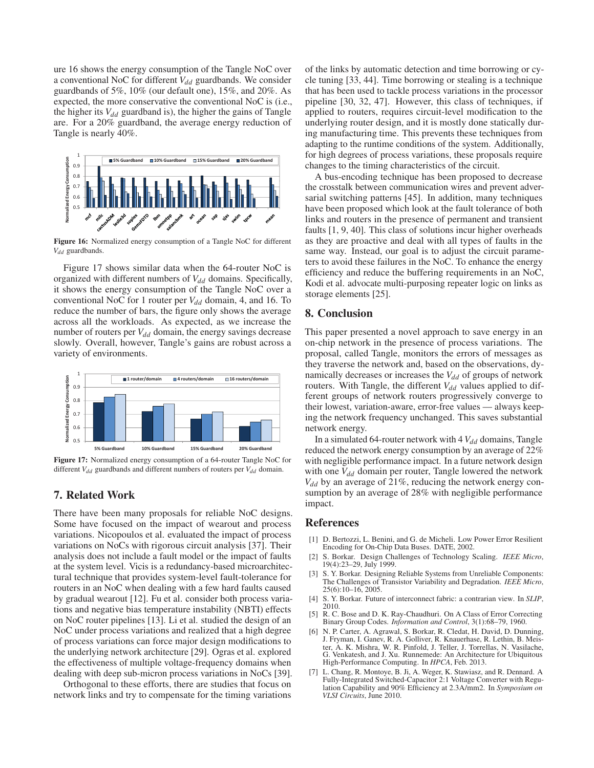ure 16 shows the energy consumption of the Tangle NoC over a conventional NoC for different *V*<sub>dd</sub> guardbands. We consider guardbands of 5%, 10% (our default one), 15%, and 20%. As expected, the more conservative the conventional NoC is (i.e., the higher its  $V_{dd}$  guardband is), the higher the gains of Tangle are. For a 20% guardband, the average energy reduction of Tangle is nearly 40%.



Figure 16: Normalized energy consumption of a Tangle NoC for different *Vdd* guardbands.

Figure 17 shows similar data when the 64-router NoC is organized with different numbers of  $V_{dd}$  domains. Specifically, it shows the energy consumption of the Tangle NoC over a conventional NoC for 1 router per  $V_{dd}$  domain, 4, and 16. To reduce the number of bars, the figure only shows the average across all the workloads. As expected, as we increase the number of routers per  $V_{dd}$  domain, the energy savings decrease slowly. Overall, however, Tangle's gains are robust across a variety of environments.



Figure 17: Normalized energy consumption of a 64-router Tangle NoC for different  $V_{dd}$  guardbands and different numbers of routers per  $V_{dd}$  domain.

# 7. Related Work

There have been many proposals for reliable NoC designs. Some have focused on the impact of wearout and process variations. Nicopoulos et al. evaluated the impact of process variations on NoCs with rigorous circuit analysis [37]. Their analysis does not include a fault model or the impact of faults at the system level. Vicis is a redundancy-based microarchitectural technique that provides system-level fault-tolerance for routers in an NoC when dealing with a few hard faults caused by gradual wearout [12]. Fu et al. consider both process variations and negative bias temperature instability (NBTI) effects on NoC router pipelines [13]. Li et al. studied the design of an NoC under process variations and realized that a high degree of process variations can force major design modifications to the underlying network architecture [29]. Ogras et al. explored the effectiveness of multiple voltage-frequency domains when dealing with deep sub-micron process variations in NoCs [39].

Orthogonal to these efforts, there are studies that focus on network links and try to compensate for the timing variations of the links by automatic detection and time borrowing or cycle tuning [33, 44]. Time borrowing or stealing is a technique that has been used to tackle process variations in the processor pipeline [30, 32, 47]. However, this class of techniques, if applied to routers, requires circuit-level modification to the underlying router design, and it is mostly done statically during manufacturing time. This prevents these techniques from adapting to the runtime conditions of the system. Additionally, for high degrees of process variations, these proposals require changes to the timing characteristics of the circuit.

A bus-encoding technique has been proposed to decrease the crosstalk between communication wires and prevent adversarial switching patterns [45]. In addition, many techniques have been proposed which look at the fault tolerance of both links and routers in the presence of permanent and transient faults [1, 9, 40]. This class of solutions incur higher overheads as they are proactive and deal with all types of faults in the same way. Instead, our goal is to adjust the circuit parameters to avoid these failures in the NoC. To enhance the energy efficiency and reduce the buffering requirements in an NoC, Kodi et al. advocate multi-purposing repeater logic on links as storage elements [25].

### 8. Conclusion

This paper presented a novel approach to save energy in an on-chip network in the presence of process variations. The proposal, called Tangle, monitors the errors of messages as they traverse the network and, based on the observations, dynamically decreases or increases the  $V_{dd}$  of groups of network routers. With Tangle, the different  $V_{dd}$  values applied to different groups of network routers progressively converge to their lowest, variation-aware, error-free values — always keeping the network frequency unchanged. This saves substantial network energy.

In a simulated 64-router network with  $4V_{dd}$  domains, Tangle reduced the network energy consumption by an average of 22% with negligible performance impact. In a future network design with one  $V_{dd}$  domain per router, Tangle lowered the network  $V_{dd}$  by an average of 21%, reducing the network energy consumption by an average of 28% with negligible performance impact.

### References

- [1] D. Bertozzi, L. Benini, and G. de Micheli. Low Power Error Resilient Encoding for On-Chip Data Buses. DATE, 2002.
- [2] S. Borkar. Design Challenges of Technology Scaling. *IEEE Micro*, 19(4):23–29, July 1999.
- [3] S. Y. Borkar. Designing Reliable Systems from Unreliable Components: The Challenges of Transistor Variability and Degradation. *IEEE Micro*, 25(6):10–16, 2005.
- [4] S. Y. Borkar. Future of interconnect fabric: a contrarian view. In *SLIP*, 2010.
- R. C. Bose and D. K. Ray-Chaudhuri. On A Class of Error Correcting Binary Group Codes. *Information and Control*, 3(1):68–79, 1960.
- [6] N. P. Carter, A. Agrawal, S. Borkar, R. Cledat, H. David, D. Dunning, J. Fryman, I. Ganev, R. A. Golliver, R. Knauerhase, R. Lethin, B. Meister, A. K. Mishra, W. R. Pinfold, J. Teller, J. Torrellas, N. Vasilache, Venkatesh, and J. Xu. Runnemede: An Architecture for Ubiquitous High-Performance Computing. In *HPCA*, Feb. 2013.
- L. Chang, R. Montoye, B. Ji, A. Weger, K. Stawiasz, and R. Dennard. A Fully-Integrated Switched-Capacitor 2:1 Voltage Converter with Regulation Capability and 90% Efficiency at 2.3A/mm2. In *Symposium on VLSI Circuits*, June 2010.